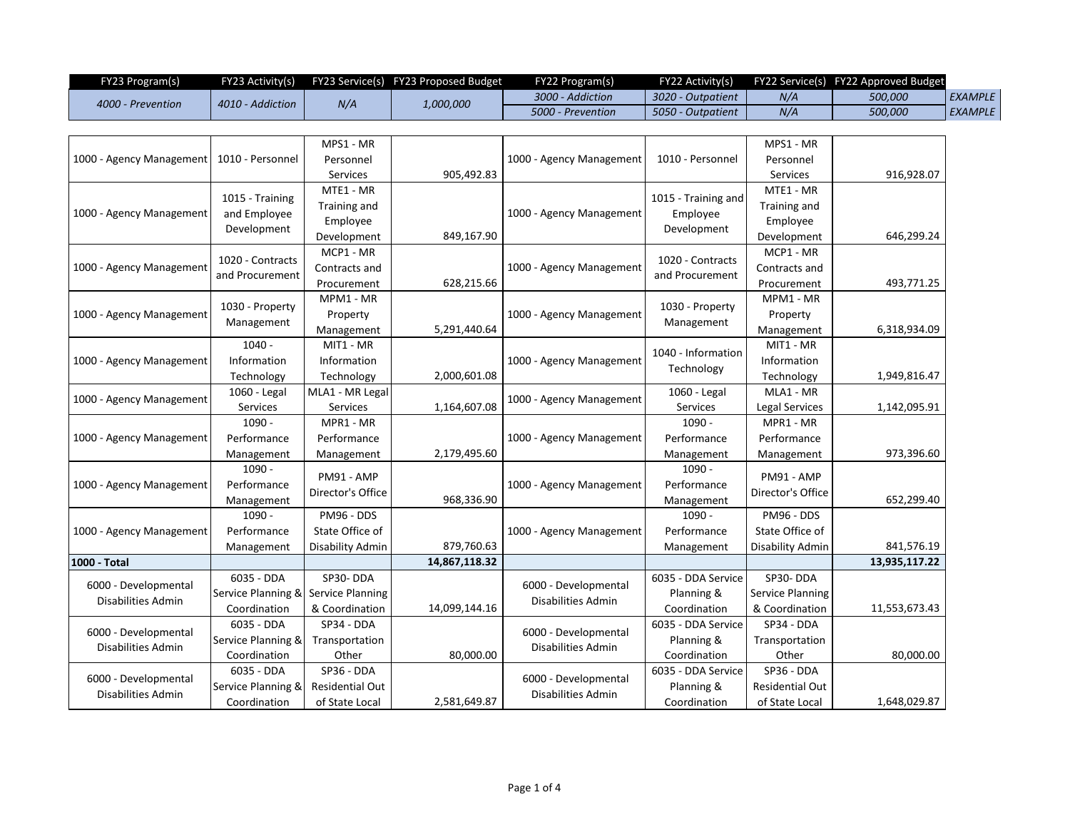| FY23 Program(s)   |                         |  | FY23 Activity(s) FY23 Service(s) FY23 Proposed Budget | FY22 Program(s)   |                   |                       | FY22 Activity(s) FY22 Service(s) FY22 Approved Budget |                |
|-------------------|-------------------------|--|-------------------------------------------------------|-------------------|-------------------|-----------------------|-------------------------------------------------------|----------------|
| 4000 - Prevention | N/A<br>4010 - Addiction |  | 1,000,000                                             | 3000 - Addiction  | 3020 - Outpatient | N/A                   | 500,000                                               | <b>EXAMPLE</b> |
|                   |                         |  | 5000 - Prevention                                     | 5050 - Outpatient | N/A               | <i><b>500,000</b></i> | EXAMPLE                                               |                |

| 1000 - Agency Management  | 1010 - Personnel   | MPS1 - MR               |                          | 1000 - Agency Management                   | 1010 - Personnel                    | MPS1 - MR               |               |
|---------------------------|--------------------|-------------------------|--------------------------|--------------------------------------------|-------------------------------------|-------------------------|---------------|
|                           |                    | Personnel               |                          |                                            |                                     | Personnel               |               |
|                           |                    | Services                | 905,492.83               |                                            |                                     | Services                | 916,928.07    |
| 1000 - Agency Management  | 1015 - Training    | MTE1 - MR               |                          | 1000 - Agency Management                   | 1015 - Training and                 | MTE1 - MR               |               |
|                           | and Employee       | Training and            |                          |                                            | Employee<br>Development             | Training and            |               |
|                           | Development        | Employee                |                          |                                            |                                     | Employee                |               |
|                           |                    | Development             | 849,167.90               |                                            |                                     | Development             | 646,299.24    |
|                           | 1020 - Contracts   | MCP1 - MR               |                          | 1000 - Agency Management                   | 1020 - Contracts<br>and Procurement | MCP1 - MR               |               |
| 1000 - Agency Management  | and Procurement    | Contracts and           |                          |                                            |                                     | Contracts and           |               |
|                           |                    | Procurement             | 628,215.66               |                                            |                                     | Procurement             | 493,771.25    |
|                           |                    | MPM1 - MR               |                          | 1000 - Agency Management                   |                                     | MPM1 - MR               |               |
| 1000 - Agency Management  | 1030 - Property    | Property                |                          |                                            | 1030 - Property<br>Management       | Property                |               |
|                           | Management         | Management              | 5,291,440.64             |                                            |                                     | Management              | 6,318,934.09  |
|                           | $1040 -$           | MIT1 - MR               |                          |                                            |                                     | MIT1 - MR               |               |
| 1000 - Agency Management  | Information        | Information             |                          | 1000 - Agency Management                   | 1040 - Information                  | Information             |               |
|                           | Technology         | Technology              | 2,000,601.08             |                                            | Technology                          | Technology              | 1,949,816.47  |
| 1000 - Agency Management  | 1060 - Legal       | MLA1 - MR Legal         |                          | 1000 - Agency Management                   | 1060 - Legal                        | MLA1 - MR               |               |
|                           | <b>Services</b>    | <b>Services</b>         | 1,164,607.08             |                                            | Services                            | Legal Services          | 1,142,095.91  |
|                           | $1090 -$           | MPR1 - MR               |                          |                                            | $1090 -$                            | MPR1 - MR               |               |
| 1000 - Agency Management  | Performance        | Performance             |                          | 1000 - Agency Management                   | Performance                         | Performance             |               |
|                           | Management         | Management              | 2,179,495.60             |                                            | Management                          | Management              | 973,396.60    |
|                           | 1090 -             |                         |                          |                                            | 1090 -                              |                         |               |
| 1000 - Agency Management  | Performance        | PM91 - AMP              | 1000 - Agency Management | Performance                                | PM91 - AMP                          |                         |               |
|                           | Management         | Director's Office       | 968,336.90               |                                            | Management                          | Director's Office       | 652,299.40    |
|                           | 1090 -             | PM96 - DDS              |                          |                                            | 1090 -                              | PM96 - DDS              |               |
| 1000 - Agency Management  | Performance        | State Office of         |                          | 1000 - Agency Management                   | Performance                         | State Office of         |               |
|                           | Management         | Disability Admin        | 879,760.63               |                                            | Management                          | Disability Admin        | 841,576.19    |
| 1000 - Total              |                    |                         | 14,867,118.32            |                                            |                                     |                         | 13,935,117.22 |
|                           | 6035 - DDA         | SP30-DDA                |                          |                                            | 6035 - DDA Service                  | SP30-DDA                |               |
| 6000 - Developmental      | Service Planning & | <b>Service Planning</b> |                          | 6000 - Developmental                       | Planning &                          | <b>Service Planning</b> |               |
| Disabilities Admin        | Coordination       | & Coordination          | 14,099,144.16            | Disabilities Admin                         | Coordination                        | & Coordination          | 11,553,673.43 |
|                           | 6035 - DDA         | SP34 - DDA              |                          |                                            | 6035 - DDA Service                  | SP34 - DDA              |               |
| 6000 - Developmental      | Service Planning & | Transportation          |                          | 6000 - Developmental                       | Planning &                          | Transportation          |               |
| <b>Disabilities Admin</b> | Coordination       | Other                   | 80,000.00                | <b>Disabilities Admin</b>                  | Coordination                        | Other                   | 80,000.00     |
|                           | 6035 - DDA         | SP36 - DDA              |                          |                                            | 6035 - DDA Service                  | SP36 - DDA              |               |
| 6000 - Developmental      | Service Planning & | <b>Residential Out</b>  |                          | 6000 - Developmental<br>Disabilities Admin | Planning &                          | <b>Residential Out</b>  |               |
| <b>Disabilities Admin</b> | Coordination       | of State Local          | 2,581,649.87             |                                            | Coordination                        | of State Local          | 1,648,029.87  |
|                           |                    |                         |                          |                                            |                                     |                         |               |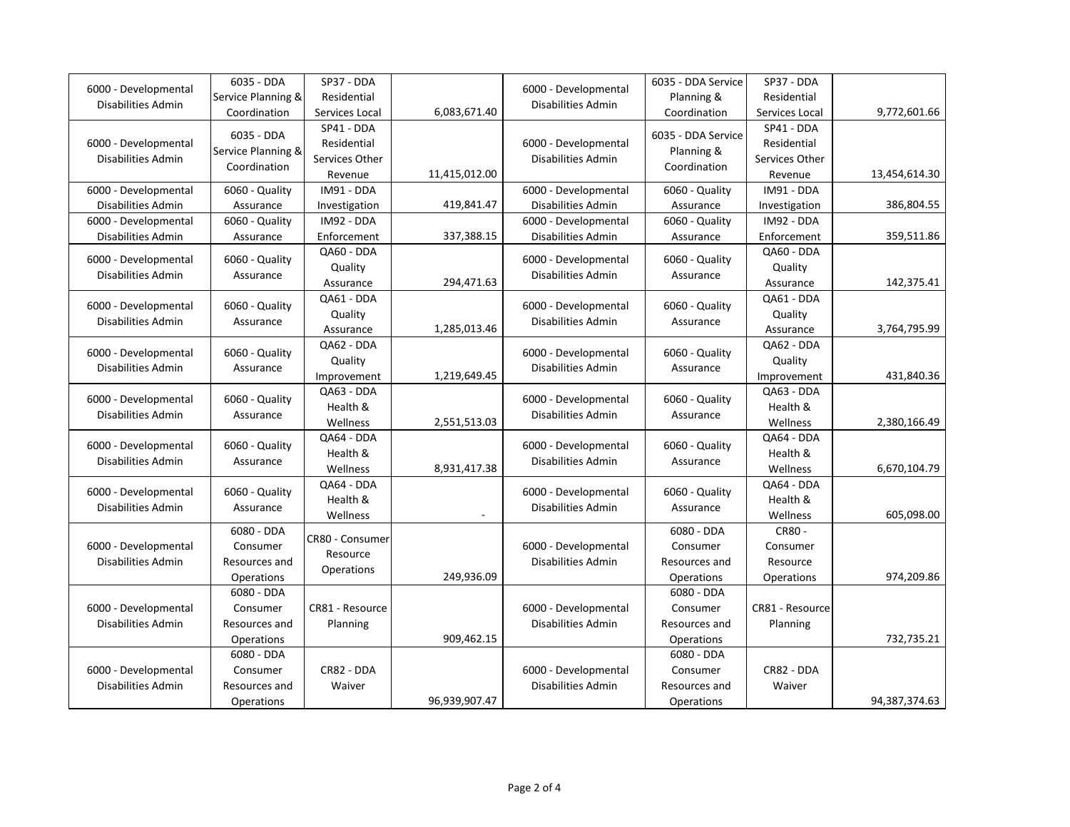| 6000 - Developmental                              | 6035 - DDA                                            | SP37 - DDA                                             |               |                                                   | 6035 - DDA Service                                    | SP37 - DDA                                             |               |
|---------------------------------------------------|-------------------------------------------------------|--------------------------------------------------------|---------------|---------------------------------------------------|-------------------------------------------------------|--------------------------------------------------------|---------------|
|                                                   | Service Planning &                                    | Residential                                            |               | 6000 - Developmental                              | Planning &                                            | Residential                                            |               |
| Disabilities Admin                                | Coordination                                          | Services Local                                         | 6,083,671.40  | Disabilities Admin                                | Coordination                                          | Services Local                                         | 9,772,601.66  |
| 6000 - Developmental<br>Disabilities Admin        | 6035 - DDA<br>Service Planning &<br>Coordination      | SP41 - DDA<br>Residential<br>Services Other<br>Revenue | 11,415,012.00 | 6000 - Developmental<br>Disabilities Admin        | 6035 - DDA Service<br>Planning &<br>Coordination      | SP41 - DDA<br>Residential<br>Services Other<br>Revenue | 13,454,614.30 |
| 6000 - Developmental                              | 6060 - Quality                                        | IM91 - DDA                                             |               | 6000 - Developmental                              | 6060 - Quality                                        | IM91 - DDA                                             |               |
| Disabilities Admin                                | Assurance                                             | Investigation                                          | 419,841.47    | <b>Disabilities Admin</b>                         | Assurance                                             | Investigation                                          | 386,804.55    |
| 6000 - Developmental                              | 6060 - Quality                                        | IM92 - DDA                                             |               | 6000 - Developmental                              | 6060 - Quality                                        | IM92 - DDA                                             |               |
| <b>Disabilities Admin</b>                         | Assurance                                             | Enforcement                                            | 337,388.15    | Disabilities Admin                                | Assurance                                             | Enforcement                                            | 359,511.86    |
| 6000 - Developmental<br>Disabilities Admin        | 6060 - Quality<br>Assurance                           | QA60 - DDA<br>Quality<br>Assurance                     | 294,471.63    | 6000 - Developmental<br>Disabilities Admin        | 6060 - Quality<br>Assurance                           | QA60 - DDA<br>Quality<br>Assurance                     | 142,375.41    |
| 6000 - Developmental<br><b>Disabilities Admin</b> | 6060 - Quality<br>Assurance                           | QA61 - DDA<br>Quality<br>Assurance                     | 1,285,013.46  | 6000 - Developmental<br><b>Disabilities Admin</b> | 6060 - Quality<br>Assurance                           | QA61 - DDA<br>Quality<br>Assurance                     | 3,764,795.99  |
| 6000 - Developmental<br>Disabilities Admin        | 6060 - Quality<br>Assurance                           | QA62 - DDA<br>Quality<br>Improvement                   | 1,219,649.45  | 6000 - Developmental<br>Disabilities Admin        | 6060 - Quality<br>Assurance                           | QA62 - DDA<br>Quality<br>Improvement                   | 431,840.36    |
| 6000 - Developmental<br><b>Disabilities Admin</b> | 6060 - Quality<br>Assurance                           | QA63 - DDA<br>Health &<br>Wellness                     | 2,551,513.03  | 6000 - Developmental<br><b>Disabilities Admin</b> | 6060 - Quality<br>Assurance                           | QA63 - DDA<br>Health &<br>Wellness                     | 2,380,166.49  |
| 6000 - Developmental<br>Disabilities Admin        | 6060 - Quality<br>Assurance                           | QA64 - DDA<br>Health &<br>Wellness                     | 8,931,417.38  | 6000 - Developmental<br>Disabilities Admin        | 6060 - Quality<br>Assurance                           | QA64 - DDA<br>Health &<br>Wellness                     | 6,670,104.79  |
| 6000 - Developmental<br><b>Disabilities Admin</b> | 6060 - Quality<br>Assurance                           | QA64 - DDA<br>Health &<br>Wellness                     | ÷             | 6000 - Developmental<br><b>Disabilities Admin</b> | 6060 - Quality<br>Assurance                           | QA64 - DDA<br>Health &<br>Wellness                     | 605,098.00    |
| 6000 - Developmental<br>Disabilities Admin        | 6080 - DDA<br>Consumer<br>Resources and<br>Operations | CR80 - Consumer<br>Resource<br>Operations              | 249,936.09    | 6000 - Developmental<br><b>Disabilities Admin</b> | 6080 - DDA<br>Consumer<br>Resources and<br>Operations | CR80 -<br>Consumer<br>Resource<br>Operations           | 974,209.86    |
| 6000 - Developmental<br>Disabilities Admin        | 6080 - DDA<br>Consumer<br>Resources and<br>Operations | CR81 - Resource<br>Planning                            | 909,462.15    | 6000 - Developmental<br>Disabilities Admin        | 6080 - DDA<br>Consumer<br>Resources and<br>Operations | CR81 - Resource<br>Planning                            | 732,735.21    |
| 6000 - Developmental<br>Disabilities Admin        | 6080 - DDA<br>Consumer<br>Resources and<br>Operations | CR82 - DDA<br>Waiver                                   | 96,939,907.47 | 6000 - Developmental<br>Disabilities Admin        | 6080 - DDA<br>Consumer<br>Resources and<br>Operations | CR82 - DDA<br>Waiver                                   | 94,387,374.63 |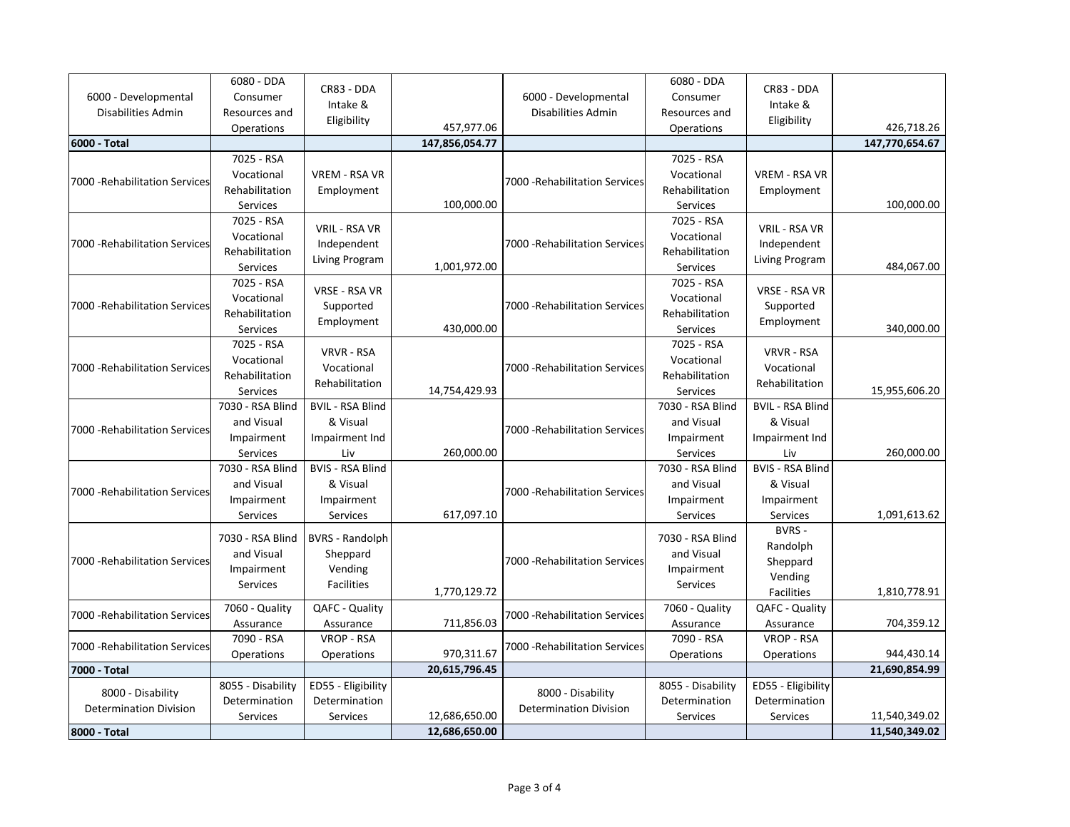| 6000 - Developmental<br>Disabilities Admin         | 6080 - DDA<br>Consumer<br>Resources and<br>Operations    | CR83 - DDA<br>Intake &<br>Eligibility                              | 457,977.06     | 6000 - Developmental<br>Disabilities Admin         | 6080 - DDA<br>Consumer<br>Resources and<br>Operations    | CR83 - DDA<br>Intake &<br>Eligibility                          | 426,718.26     |
|----------------------------------------------------|----------------------------------------------------------|--------------------------------------------------------------------|----------------|----------------------------------------------------|----------------------------------------------------------|----------------------------------------------------------------|----------------|
| 6000 - Total                                       |                                                          |                                                                    | 147,856,054.77 |                                                    |                                                          |                                                                | 147,770,654.67 |
| 7000 - Rehabilitation Services                     | 7025 - RSA<br>Vocational<br>Rehabilitation<br>Services   | <b>VREM - RSA VR</b><br>Employment                                 | 100,000.00     | 7000 - Rehabilitation Services                     | 7025 - RSA<br>Vocational<br>Rehabilitation<br>Services   | VREM - RSA VR<br>Employment                                    | 100,000.00     |
| 7000 - Rehabilitation Services                     | 7025 - RSA<br>Vocational<br>Rehabilitation<br>Services   | VRIL - RSA VR<br>Independent<br>Living Program                     | 1,001,972.00   | 7000 - Rehabilitation Services                     | 7025 - RSA<br>Vocational<br>Rehabilitation<br>Services   | VRIL - RSA VR<br>Independent<br>Living Program                 | 484,067.00     |
| 7000 - Rehabilitation Services                     | 7025 - RSA<br>Vocational<br>Rehabilitation<br>Services   | VRSE - RSA VR<br>Supported<br>Employment                           | 430,000.00     | 7000 - Rehabilitation Services                     | 7025 - RSA<br>Vocational<br>Rehabilitation<br>Services   | VRSE - RSA VR<br>Supported<br>Employment                       | 340,000.00     |
| 7000 - Rehabilitation Services                     | 7025 - RSA<br>Vocational<br>Rehabilitation<br>Services   | <b>VRVR - RSA</b><br>Vocational<br>Rehabilitation                  | 14,754,429.93  | 7000 - Rehabilitation Services                     | 7025 - RSA<br>Vocational<br>Rehabilitation<br>Services   | <b>VRVR - RSA</b><br>Vocational<br>Rehabilitation              | 15,955,606.20  |
| 7000 - Rehabilitation Services                     | 7030 - RSA Blind<br>and Visual<br>Impairment<br>Services | <b>BVIL - RSA Blind</b><br>& Visual<br>Impairment Ind<br>Liv       | 260,000.00     | 7000 - Rehabilitation Services                     | 7030 - RSA Blind<br>and Visual<br>Impairment<br>Services | <b>BVIL - RSA Blind</b><br>& Visual<br>Impairment Ind<br>Liv   | 260,000.00     |
| 7000 - Rehabilitation Services                     | 7030 - RSA Blind<br>and Visual<br>Impairment<br>Services | <b>BVIS - RSA Blind</b><br>& Visual<br>Impairment<br>Services      | 617,097.10     | 7000 - Rehabilitation Services                     | 7030 - RSA Blind<br>and Visual<br>Impairment<br>Services | <b>BVIS - RSA Blind</b><br>& Visual<br>Impairment<br>Services  | 1,091,613.62   |
| 7000 - Rehabilitation Services                     | 7030 - RSA Blind<br>and Visual<br>Impairment<br>Services | <b>BVRS - Randolph</b><br>Sheppard<br>Vending<br><b>Facilities</b> | 1,770,129.72   | 7000 - Rehabilitation Services                     | 7030 - RSA Blind<br>and Visual<br>Impairment<br>Services | BVRS -<br>Randolph<br>Sheppard<br>Vending<br><b>Facilities</b> | 1,810,778.91   |
| 7000 - Rehabilitation Services                     | 7060 - Quality<br>Assurance                              | QAFC - Quality<br>Assurance                                        | 711,856.03     | 7000 - Rehabilitation Services                     | 7060 - Quality<br>Assurance                              | QAFC - Quality<br>Assurance                                    | 704,359.12     |
| 7000 - Rehabilitation Services                     | 7090 - RSA<br>Operations                                 | <b>VROP - RSA</b><br>Operations                                    | 970,311.67     | 7000 - Rehabilitation Services                     | 7090 - RSA<br>Operations                                 | VROP - RSA<br>Operations                                       | 944,430.14     |
| 7000 - Total                                       |                                                          |                                                                    | 20,615,796.45  |                                                    |                                                          |                                                                | 21,690,854.99  |
| 8000 - Disability<br><b>Determination Division</b> | 8055 - Disability<br>Determination<br><b>Services</b>    | ED55 - Eligibility<br>Determination<br>Services                    | 12,686,650.00  | 8000 - Disability<br><b>Determination Division</b> | 8055 - Disability<br>Determination<br>Services           | ED55 - Eligibility<br>Determination<br>Services                | 11,540,349.02  |
| 8000 - Total                                       |                                                          |                                                                    | 12,686,650.00  |                                                    |                                                          |                                                                | 11,540,349.02  |